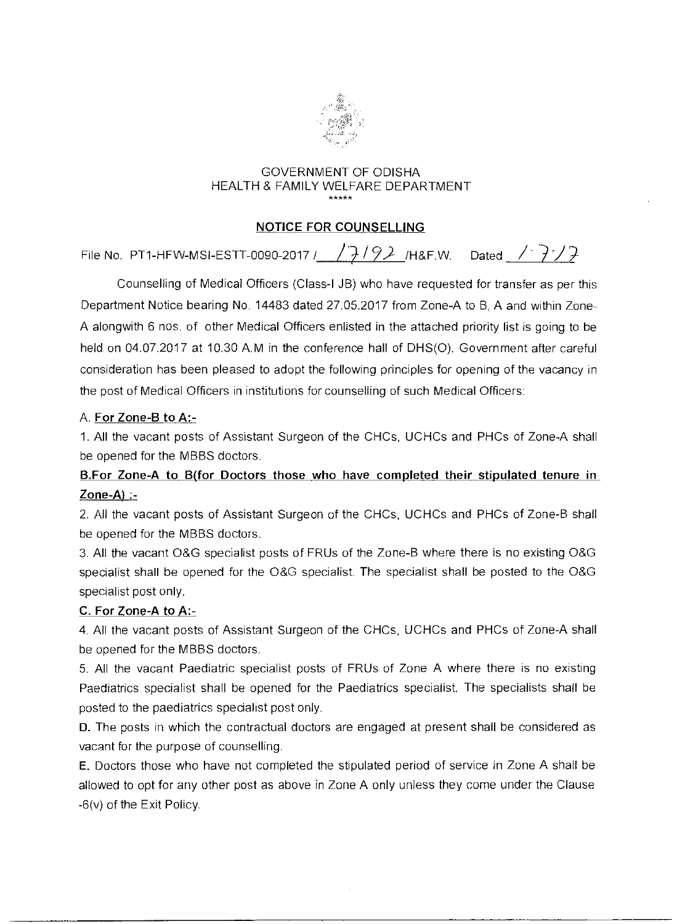

# GOVERNMENT OF ODISHA HEALTH & FAMILY WELFARE DEPARTMENT

## NOTICE FOR COUNSELLING

File No. PT1-HFW-MSI-ESTT-0090-2017 /  $\sqrt{7/92}$  /H&F.W. Dated /  $\sqrt{7}/7$ 

Counselling of Medical Officers (Class-I JB) who have requested for transfer as per this Department Notice bearing No. 14483 dated 27.05.2017 from Zone-A to B, A and within Zone-A alongwith 6 nos. of other Medical Officers enlisted in the attached priority list is going to be held on 04.07.2017 at 10.30 A.M in the conference hall of DHS(0). Government after careful consideration has been pleased to adopt the following principles for opening of the vacancy in the post of Medical Officers in institutions for counselling of such Medical Officers:

#### A. For Zone-B to A:-

1. All the vacant posts of Assistant Surgeon of the CHCs, UCHCs and PHCs of Zone-A shall be opened for the MBBS doctors.

## B.For Zone-A to B(for Doctors those who have completed their stipulated tenure in  $Zone-A$ ) :-

2. All the vacant posts of Assistant Surgeon of the CHCs, UCHCs and PHCs of Zone-B shall be opened for the MBBS doctors.

3. All the vacant O&G specialist posts of FRUs of the Zone-B where there is no existing O&G specialist shall be opened for the O&G specialist. The specialist shall be posted to the O&G specialist post only.

## C. For Zone-A to A:-

4. All the vacant posts of Assistant Surgeon of the CHCs, UCHCs and PHCs of Zone-A shall be opened for the MBBS doctors.

5. All the vacant Paediatric specialist posts of FRUs of Zone A where there is no existing Paediatrics specialist shall be opened for the Paediatrics specialist. The specialists shall be posted to the paediatrics specialist post only.

D. The posts in which the contractual doctors are engaged at present shall be considered as vacant for the purpose of counselling.

E. Doctors those who have not completed the stipulated period of service in Zone A shall be allowed to opt for any other post as above in Zone A only unless they come under the Clause -6(v) of the Exit Policy.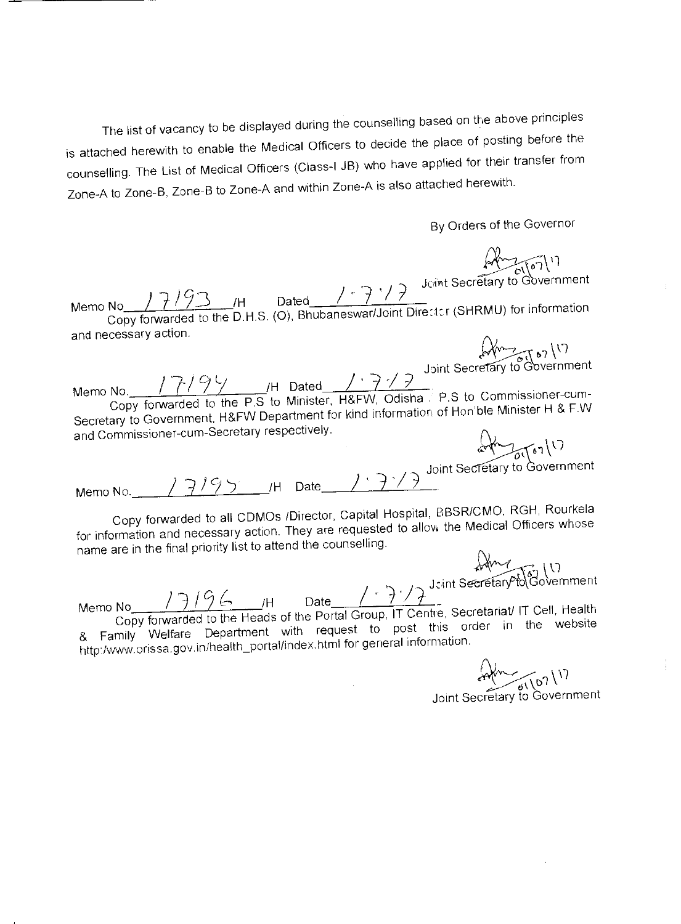The list of vacancy to be displayed during the counselling based on the above principles is attached herewith to enable the Medical Officers to decide the place of posting before the counselling. The List of Medical Officers (Class-I JB) who have applied for their transfer from Zone-A to Zone-B, Zone-B to Zone-A and within Zone-A is also attached herewith.

By Orders of the Governor

 $\langle \cdot \rangle$ Memo No.  $\frac{17194}{2^{H}}$  Dated  $\frac{17797}{2^{H}}$  Dated  $\frac{17777}{2^{H}}$  P.S to Commissioner-cum-Secretary to Government, H&FW Department for kind information of Hon ble Minister H & ENV and Commissioner-cum-Secretary respectively. Joint Secretary to Government

Memo No. 7 / 9 3 H Dated  $\sqrt{\frac{7!}{9!}}$  Jevint Secretary to Government<br>Copy forwarded to the D.H.S. (O), Bhubaneswar/Joint Director (SHRMU) for information

Joint Secretary to Government Memo No.  $17/95$  /H Date

and necessary action.

Copy forwarded to all CDMOs /Director, Capital Hospital, BBSR/CMO, RGH, Rourkela for information and necessary action. They are requested to allow the Medical Officers whose name are in the final priority list to attend the counselling.

 $\begin{bmatrix} 1 & 1 \\ 0 & 1 \end{bmatrix}$  (1)<br>ecretary to Government Joint Secretary to

Memo No  $17196$  H Date  $777^3$  $26$  /H Copy forwarded to the Heads of the Portal Group, IT Centre, Secretariati IT Cell, Health & Family Welfare Department with request to post this order in the website http:/www.orissa.gov.in/health\_portal/index.html for general information.

 $\sqrt{2}$ . 11

Joint Secretary to Government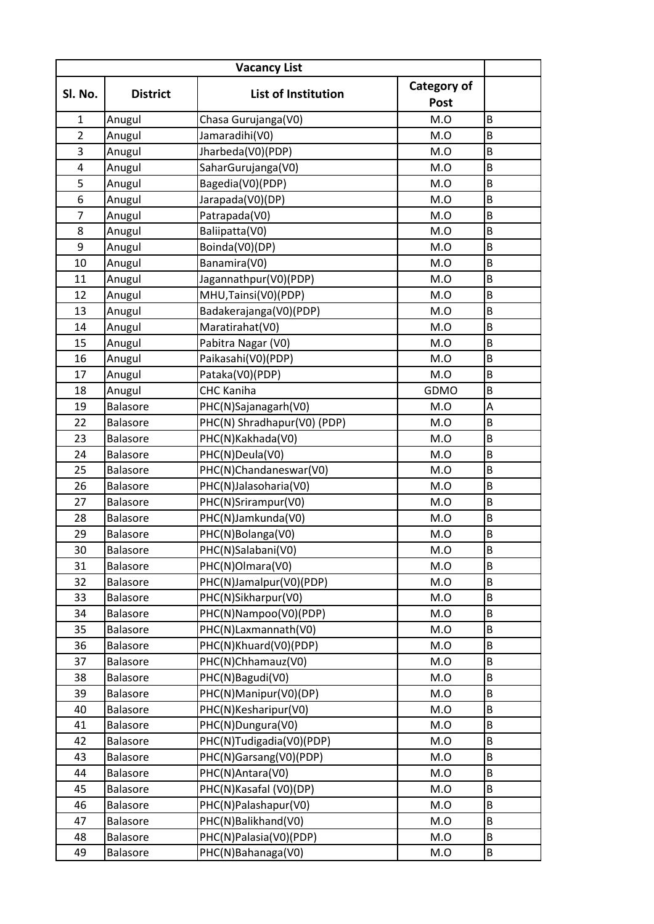| <b>Vacancy List</b> |                 |                             |                                   |                         |
|---------------------|-----------------|-----------------------------|-----------------------------------|-------------------------|
| Sl. No.             | <b>District</b> | <b>List of Institution</b>  | <b>Category of</b><br><b>Post</b> |                         |
| 1                   | Anugul          | Chasa Gurujanga(V0)         | M.O                               | B                       |
| $\overline{2}$      | Anugul          | Jamaradihi(V0)              | M.O                               | B                       |
| 3                   | Anugul          | Jharbeda(V0)(PDP)           | M.O                               | B                       |
| 4                   | Anugul          | SaharGurujanga(V0)          | M.O                               | B                       |
| 5                   | Anugul          | Bagedia(V0)(PDP)            | M.O                               | B                       |
| 6                   | Anugul          | Jarapada(V0)(DP)            | M.O                               | B                       |
| $\overline{7}$      | Anugul          | Patrapada(V0)               | M.O                               | $\sf B$                 |
| 8                   | Anugul          | Baliipatta(V0)              | M.O                               | B                       |
| 9                   | Anugul          | Boinda(V0)(DP)              | M.O                               | B                       |
| 10                  | Anugul          | Banamira(V0)                | M.O                               | B                       |
| 11                  | Anugul          | Jagannathpur(V0)(PDP)       | M.O                               | B                       |
| 12                  | Anugul          | MHU, Tainsi (V0) (PDP)      | M.O                               | $\sf B$                 |
| 13                  | Anugul          | Badakerajanga(V0)(PDP)      | M.O                               | B                       |
| 14                  | Anugul          | Maratirahat(V0)             | M.O                               | B                       |
| 15                  | Anugul          | Pabitra Nagar (V0)          | M.O                               | B                       |
| 16                  | Anugul          | Paikasahi(V0)(PDP)          | M.O                               | B                       |
| 17                  | Anugul          | Pataka(V0)(PDP)             | M.O                               | B                       |
| 18                  | Anugul          | <b>CHC Kaniha</b>           | GDMO                              | B                       |
| 19                  | <b>Balasore</b> | PHC(N)Sajanagarh(V0)        | M.O                               | A                       |
| 22                  | Balasore        | PHC(N) Shradhapur(V0) (PDP) | M.O                               | B                       |
| 23                  | <b>Balasore</b> | PHC(N)Kakhada(V0)           | M.O                               | B                       |
| 24                  | Balasore        | PHC(N)Deula(V0)             | M.O                               | B                       |
| 25                  | <b>Balasore</b> | PHC(N)Chandaneswar(V0)      | M.O                               | B                       |
| 26                  | <b>Balasore</b> | PHC(N)Jalasoharia(V0)       | M.O                               | B                       |
| 27                  | Balasore        | PHC(N)Srirampur(V0)         | M.O                               | $\sf B$                 |
| 28                  | <b>Balasore</b> | PHC(N)Jamkunda(V0)          | M.O                               | $\sf B$                 |
| 29                  | Balasore        | PHC(N)Bolanga(V0)           | M.O                               | B                       |
| 30                  | Balasore        | PHC(N)Salabani(V0)          | M.O                               | $\overline{\mathsf{B}}$ |
| 31                  | <b>Balasore</b> | PHC(N)Olmara(V0)            | M.O                               | B                       |
| 32                  | Balasore        | PHC(N)Jamalpur(V0)(PDP)     | M.O                               | B                       |
| 33                  | Balasore        | PHC(N)Sikharpur(V0)         | M.O                               | $\sf B$                 |
| 34                  | Balasore        | PHC(N)Nampoo(V0)(PDP)       | M.O                               | B                       |
| 35                  | Balasore        | PHC(N)Laxmannath(V0)        | M.O                               | B                       |
| 36                  | Balasore        | PHC(N)Khuard(V0)(PDP)       | M.O                               | B                       |
| 37                  | Balasore        | PHC(N)Chhamauz(V0)          | M.O                               | B                       |
| 38                  | Balasore        | PHC(N)Bagudi(V0)            | M.O                               | B                       |
| 39                  | Balasore        | PHC(N)Manipur(V0)(DP)       | M.O                               | B                       |
| 40                  | Balasore        | PHC(N)Kesharipur(V0)        | M.O                               | B                       |
| 41                  | Balasore        | PHC(N)Dungura(V0)           | M.O                               | B                       |
| 42                  | Balasore        | PHC(N)Tudigadia(V0)(PDP)    | M.O                               | B                       |
| 43                  | Balasore        | PHC(N)Garsang(V0)(PDP)      | M.O                               | B                       |
| 44                  | Balasore        | PHC(N)Antara(V0)            | M.O                               | $\sf B$                 |
| 45                  | <b>Balasore</b> | PHC(N)Kasafal (V0)(DP)      | M.O                               | B                       |
| 46                  | Balasore        | PHC(N)Palashapur(V0)        | M.O                               | $\sf B$                 |
| 47                  | Balasore        | PHC(N)Balikhand(V0)         | M.O                               | $\sf B$                 |
| 48                  | Balasore        | PHC(N)Palasia(V0)(PDP)      | M.O                               | B                       |
| 49                  | Balasore        | PHC(N)Bahanaga(V0)          | M.O                               | B                       |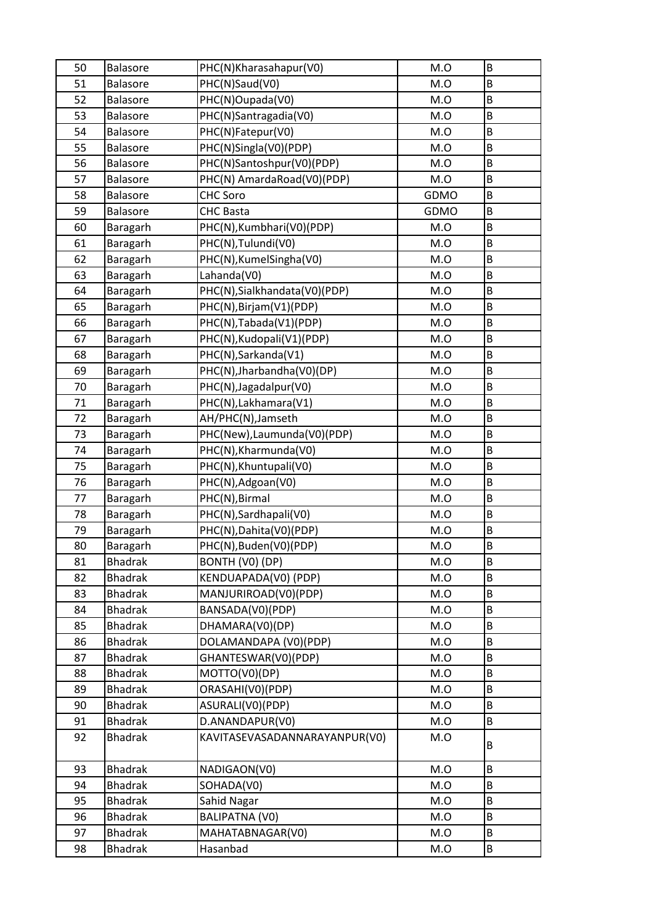| 50 | Balasore        | PHC(N)Kharasahapur(V0)        | M.O  | B       |
|----|-----------------|-------------------------------|------|---------|
| 51 | Balasore        | PHC(N)Saud(V0)                | M.O  | B       |
| 52 | Balasore        | PHC(N)Oupada(V0)              | M.O  | B       |
| 53 | Balasore        | PHC(N)Santragadia(V0)         | M.O  | B       |
| 54 | <b>Balasore</b> | PHC(N)Fatepur(V0)             | M.O  | $\sf B$ |
| 55 | Balasore        | PHC(N)Singla(V0)(PDP)         | M.O  | $\sf B$ |
| 56 | Balasore        | PHC(N)Santoshpur(V0)(PDP)     | M.O  | $\sf B$ |
| 57 | <b>Balasore</b> | PHC(N) AmardaRoad(V0)(PDP)    | M.O  | $\sf B$ |
| 58 | Balasore        | <b>CHC Soro</b>               | GDMO | $\sf B$ |
| 59 | Balasore        | <b>CHC Basta</b>              | GDMO | B       |
| 60 | Baragarh        | PHC(N), Kumbhari(V0)(PDP)     | M.O  | $\sf B$ |
| 61 | Baragarh        | PHC(N), Tulundi(V0)           | M.O  | $\sf B$ |
| 62 | Baragarh        | PHC(N), KumelSingha(V0)       | M.O  | $\sf B$ |
| 63 | Baragarh        | Lahanda(V0)                   | M.O  | B       |
| 64 | Baragarh        | PHC(N), Sialkhandata(V0)(PDP) | M.O  | B       |
| 65 | Baragarh        | PHC(N), Birjam(V1)(PDP)       | M.O  | B       |
| 66 | Baragarh        | PHC(N), Tabada(V1)(PDP)       | M.O  | B       |
| 67 | Baragarh        | PHC(N), Kudopali(V1)(PDP)     | M.O  | $\sf B$ |
| 68 | Baragarh        | PHC(N), Sarkanda(V1)          | M.O  | B       |
| 69 | Baragarh        | PHC(N), Jharbandha(V0)(DP)    | M.O  | B       |
| 70 | Baragarh        | PHC(N), Jagadalpur (V0)       | M.O  | B       |
| 71 | Baragarh        | PHC(N), Lakhamara(V1)         | M.O  | $\sf B$ |
| 72 | Baragarh        | AH/PHC(N), Jamseth            | M.O  | B       |
| 73 | Baragarh        | PHC(New), Laumunda(V0)(PDP)   | M.O  | $\sf B$ |
| 74 | Baragarh        | PHC(N), Kharmunda(V0)         | M.O  | $\sf B$ |
| 75 | Baragarh        | PHC(N), Khuntupali(V0)        | M.O  | $\sf B$ |
| 76 | Baragarh        | PHC(N), Adgoan(V0)            | M.O  | B       |
| 77 | Baragarh        | PHC(N), Birmal                | M.O  | $\sf B$ |
| 78 | Baragarh        | PHC(N), Sardhapali(V0)        | M.O  | B       |
| 79 | Baragarh        | PHC(N), Dahita(V0)(PDP)       | M.O  | $\sf B$ |
| 80 | Baragarh        | PHC(N), Buden(V0)(PDP)        | M.O  | B       |
| 81 | <b>Bhadrak</b>  | BONTH (V0) (DP)               | M.O  | B       |
| 82 | <b>Bhadrak</b>  | KENDUAPADA(V0) (PDP)          | M.O  | B       |
| 83 | <b>Bhadrak</b>  | MANJURIROAD(V0)(PDP)          | M.O  | B       |
| 84 | <b>Bhadrak</b>  | BANSADA(V0)(PDP)              | M.O  | B       |
| 85 | <b>Bhadrak</b>  | DHAMARA(V0)(DP)               | M.O  | B       |
| 86 | <b>Bhadrak</b>  | DOLAMANDAPA (V0)(PDP)         | M.O  | $\sf B$ |
| 87 | <b>Bhadrak</b>  | GHANTESWAR(V0)(PDP)           | M.O  | B       |
| 88 | <b>Bhadrak</b>  | MOTTO(V0)(DP)                 | M.O  | B       |
| 89 | <b>Bhadrak</b>  | ORASAHI(V0)(PDP)              | M.O  | B       |
| 90 | <b>Bhadrak</b>  | ASURALI(V0)(PDP)              | M.O  | B       |
| 91 | <b>Bhadrak</b>  | D.ANANDAPUR(V0)               | M.O  | B       |
| 92 | <b>Bhadrak</b>  | KAVITASEVASADANNARAYANPUR(V0) | M.O  | B       |
| 93 | <b>Bhadrak</b>  | NADIGAON(V0)                  | M.O  | B       |
| 94 | <b>Bhadrak</b>  | SOHADA(V0)                    | M.O  | B       |
| 95 | <b>Bhadrak</b>  | Sahid Nagar                   | M.O  | $\sf B$ |
| 96 | <b>Bhadrak</b>  | <b>BALIPATNA (VO)</b>         | M.O  | B       |
| 97 | <b>Bhadrak</b>  | MAHATABNAGAR(V0)              | M.O  | B       |
| 98 | Bhadrak         | Hasanbad                      | M.O  | B       |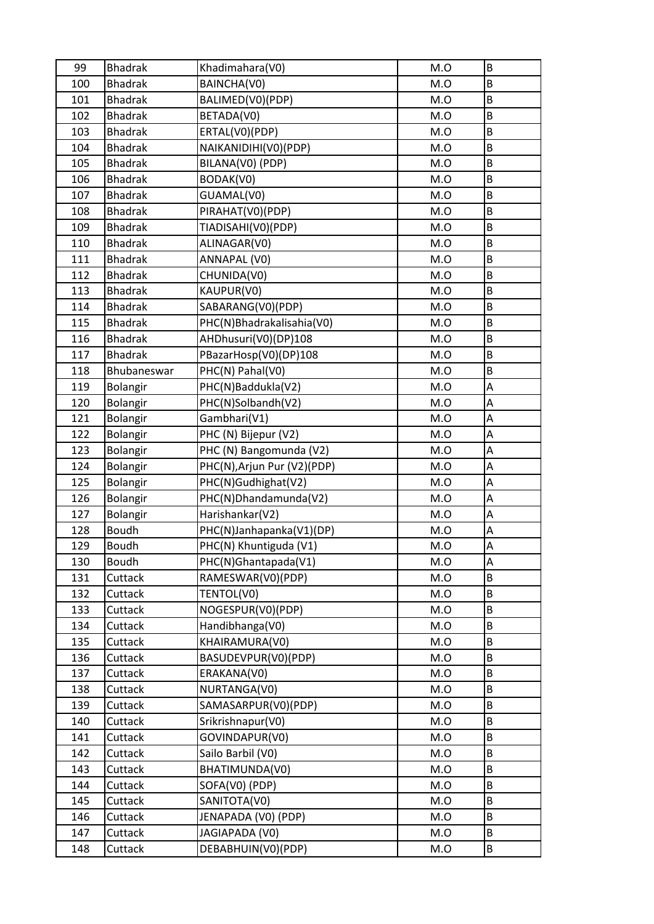| 99  | <b>Bhadrak</b>  | Khadimahara(V0)             | M.O | B |
|-----|-----------------|-----------------------------|-----|---|
| 100 | <b>Bhadrak</b>  | BAINCHA(V0)                 | M.O | B |
| 101 | <b>Bhadrak</b>  | BALIMED(V0)(PDP)            | M.O | B |
| 102 | <b>Bhadrak</b>  | BETADA(V0)                  | M.O | B |
| 103 | <b>Bhadrak</b>  | ERTAL(V0)(PDP)              | M.O | B |
| 104 | <b>Bhadrak</b>  | NAIKANIDIHI(V0)(PDP)        | M.O | B |
| 105 | <b>Bhadrak</b>  | BILANA(V0) (PDP)            | M.O | B |
| 106 | <b>Bhadrak</b>  | BODAK(V0)                   | M.O | B |
| 107 | <b>Bhadrak</b>  | GUAMAL(V0)                  | M.O | B |
| 108 | <b>Bhadrak</b>  | PIRAHAT(V0)(PDP)            | M.O | B |
| 109 | <b>Bhadrak</b>  | TIADISAHI(V0)(PDP)          | M.O | B |
| 110 | <b>Bhadrak</b>  | ALINAGAR(V0)                | M.O | B |
| 111 | <b>Bhadrak</b>  | ANNAPAL (VO)                | M.O | B |
| 112 | <b>Bhadrak</b>  | CHUNIDA(V0)                 | M.O | B |
| 113 | <b>Bhadrak</b>  | KAUPUR(V0)                  | M.O | B |
| 114 | <b>Bhadrak</b>  | SABARANG(V0)(PDP)           | M.O | B |
| 115 | <b>Bhadrak</b>  | PHC(N)Bhadrakalisahia(V0)   | M.O | B |
| 116 | <b>Bhadrak</b>  | AHDhusuri(V0)(DP)108        | M.O | B |
| 117 | <b>Bhadrak</b>  | PBazarHosp(V0)(DP)108       | M.O | B |
| 118 | Bhubaneswar     | PHC(N) Pahal(V0)            | M.O | B |
| 119 | Bolangir        | PHC(N)Baddukla(V2)          | M.O | A |
| 120 | Bolangir        | PHC(N)Solbandh(V2)          | M.O | A |
| 121 | Bolangir        | Gambhari(V1)                | M.O | A |
| 122 | Bolangir        | PHC (N) Bijepur (V2)        | M.O | A |
| 123 | Bolangir        | PHC (N) Bangomunda (V2)     | M.O | A |
| 124 | Bolangir        | PHC(N), Arjun Pur (V2)(PDP) | M.O | A |
| 125 | Bolangir        | PHC(N)Gudhighat(V2)         | M.O | A |
| 126 | <b>Bolangir</b> | PHC(N)Dhandamunda(V2)       | M.O | Α |
| 127 | Bolangir        | Harishankar(V2)             | M.O | A |
| 128 | <b>Boudh</b>    | PHC(N)Janhapanka(V1)(DP)    | M.O | A |
| 129 | <b>Boudh</b>    | PHC(N) Khuntiguda (V1)      | M.O | A |
| 130 | <b>Boudh</b>    | PHC(N)Ghantapada(V1)        | M.O | A |
| 131 | Cuttack         | RAMESWAR(V0)(PDP)           | M.O | B |
| 132 | Cuttack         | TENTOL(V0)                  | M.O | B |
| 133 | Cuttack         | NOGESPUR(V0)(PDP)           | M.O | B |
| 134 | Cuttack         | Handibhanga(V0)             | M.O | B |
| 135 | Cuttack         | KHAIRAMURA(V0)              | M.O | B |
| 136 | Cuttack         | BASUDEVPUR(V0)(PDP)         | M.O | B |
| 137 | Cuttack         | ERAKANA(VO)                 | M.O | B |
| 138 | Cuttack         | NURTANGA(V0)                | M.O | B |
| 139 | Cuttack         | SAMASARPUR(V0)(PDP)         | M.O | B |
| 140 | Cuttack         | Srikrishnapur(V0)           | M.O | B |
| 141 | Cuttack         | GOVINDAPUR(V0)              | M.O | B |
| 142 | Cuttack         | Sailo Barbil (V0)           | M.O | B |
| 143 | Cuttack         | BHATIMUNDA(V0)              | M.O | B |
| 144 | Cuttack         | SOFA(V0) (PDP)              | M.O | B |
| 145 | Cuttack         | SANITOTA(V0)                | M.O | B |
| 146 | Cuttack         | JENAPADA (V0) (PDP)         | M.O | B |
| 147 | Cuttack         | JAGIAPADA (V0)              | M.O | B |
| 148 | Cuttack         | DEBABHUIN(V0)(PDP)          | M.O | B |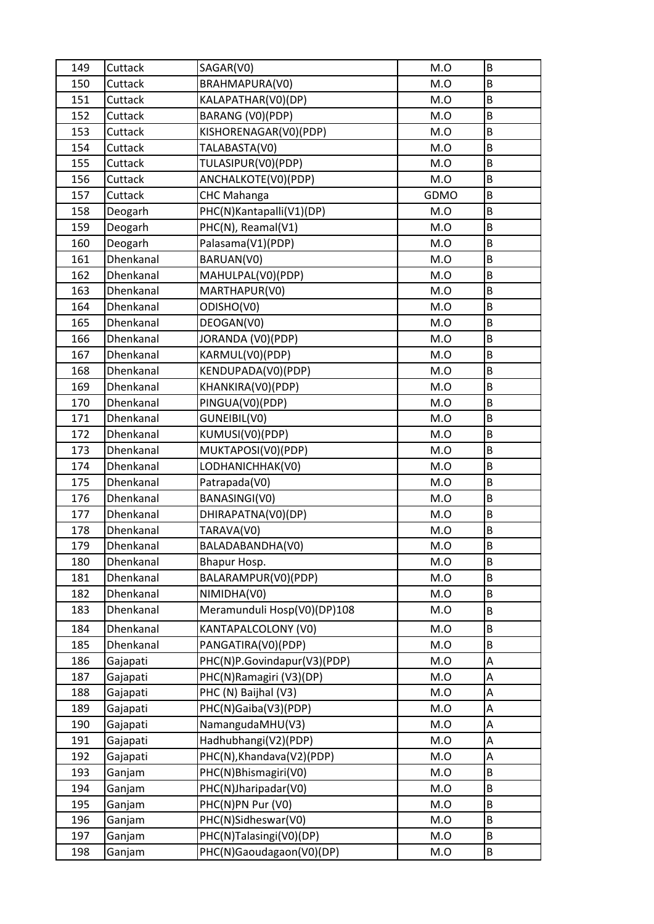| 149 | Cuttack          | SAGAR(V0)                   | M.O  | B |
|-----|------------------|-----------------------------|------|---|
| 150 | Cuttack          | BRAHMAPURA(V0)              | M.O  | B |
| 151 | Cuttack          | KALAPATHAR(V0)(DP)          | M.O  | B |
| 152 | Cuttack          | BARANG (V0)(PDP)            | M.O  | B |
| 153 | Cuttack          | KISHORENAGAR(V0)(PDP)       | M.O  | B |
| 154 | Cuttack          | TALABASTA(V0)               | M.O  | B |
| 155 | Cuttack          | TULASIPUR(V0)(PDP)          | M.O  | B |
| 156 | Cuttack          | ANCHALKOTE(V0)(PDP)         | M.O  | B |
| 157 | Cuttack          | <b>CHC Mahanga</b>          | GDMO | B |
| 158 | Deogarh          | PHC(N)Kantapalli(V1)(DP)    | M.O  | B |
| 159 | Deogarh          | PHC(N), Reamal(V1)          | M.O  | B |
| 160 | Deogarh          | Palasama(V1)(PDP)           | M.O  | B |
| 161 | Dhenkanal        | BARUAN(V0)                  | M.O  | B |
| 162 | Dhenkanal        | MAHULPAL(V0)(PDP)           | M.O  | B |
| 163 | Dhenkanal        | MARTHAPUR(V0)               | M.O  | B |
| 164 | Dhenkanal        | ODISHO(V0)                  | M.O  | B |
| 165 | Dhenkanal        | DEOGAN(V0)                  | M.O  | B |
| 166 | Dhenkanal        | JORANDA (V0)(PDP)           | M.O  | B |
| 167 | <b>Dhenkanal</b> | KARMUL(V0)(PDP)             | M.O  | B |
| 168 | Dhenkanal        | KENDUPADA(V0)(PDP)          | M.O  | B |
| 169 | Dhenkanal        | KHANKIRA(V0)(PDP)           | M.O  | B |
| 170 | Dhenkanal        | PINGUA(V0)(PDP)             | M.O  | B |
| 171 | Dhenkanal        | GUNEIBIL(VO)                | M.O  | B |
| 172 | Dhenkanal        | KUMUSI(V0)(PDP)             | M.O  | B |
| 173 | Dhenkanal        | MUKTAPOSI(V0)(PDP)          | M.O  | B |
| 174 | Dhenkanal        | LODHANICHHAK(V0)            | M.O  | B |
| 175 | Dhenkanal        | Patrapada(V0)               | M.O  | B |
| 176 | Dhenkanal        | BANASINGI(V0)               | M.O  | B |
| 177 | Dhenkanal        | DHIRAPATNA(V0)(DP)          | M.O  | B |
| 178 | Dhenkanal        | TARAVA(V0)                  | M.O  | B |
| 179 | Dhenkanal        | BALADABANDHA(V0)            | M.O  | B |
| 180 | Dhenkanal        | Bhapur Hosp.                | M.O  | B |
| 181 | Dhenkanal        | BALARAMPUR(V0)(PDP)         | M.O  | B |
| 182 | Dhenkanal        | NIMIDHA(V0)                 | M.O  | B |
| 183 | Dhenkanal        | Meramunduli Hosp(V0)(DP)108 | M.O  | B |
| 184 | Dhenkanal        | KANTAPALCOLONY (V0)         | M.O  | B |
| 185 | Dhenkanal        | PANGATIRA(V0)(PDP)          | M.O  | B |
| 186 | Gajapati         | PHC(N)P.Govindapur(V3)(PDP) | M.O  | A |
| 187 | Gajapati         | PHC(N)Ramagiri (V3)(DP)     | M.O  | A |
| 188 | Gajapati         | PHC (N) Baijhal (V3)        | M.O  | А |
| 189 | Gajapati         | PHC(N)Gaiba(V3)(PDP)        | M.O  | A |
| 190 | Gajapati         | NamangudaMHU(V3)            | M.O  | A |
| 191 | Gajapati         | Hadhubhangi(V2)(PDP)        | M.O  | A |
| 192 | Gajapati         | PHC(N), Khandava(V2)(PDP)   | M.O  | Α |
| 193 | Ganjam           | PHC(N)Bhismagiri(V0)        | M.O  | B |
| 194 | Ganjam           | PHC(N)Jharipadar(V0)        | M.O  | B |
| 195 | Ganjam           | PHC(N)PN Pur (V0)           | M.O  | B |
| 196 | Ganjam           | PHC(N)Sidheswar(V0)         | M.O  | B |
| 197 | Ganjam           | PHC(N)Talasingi(V0)(DP)     | M.O  | B |
| 198 | Ganjam           | PHC(N)Gaoudagaon(V0)(DP)    | M.O  | B |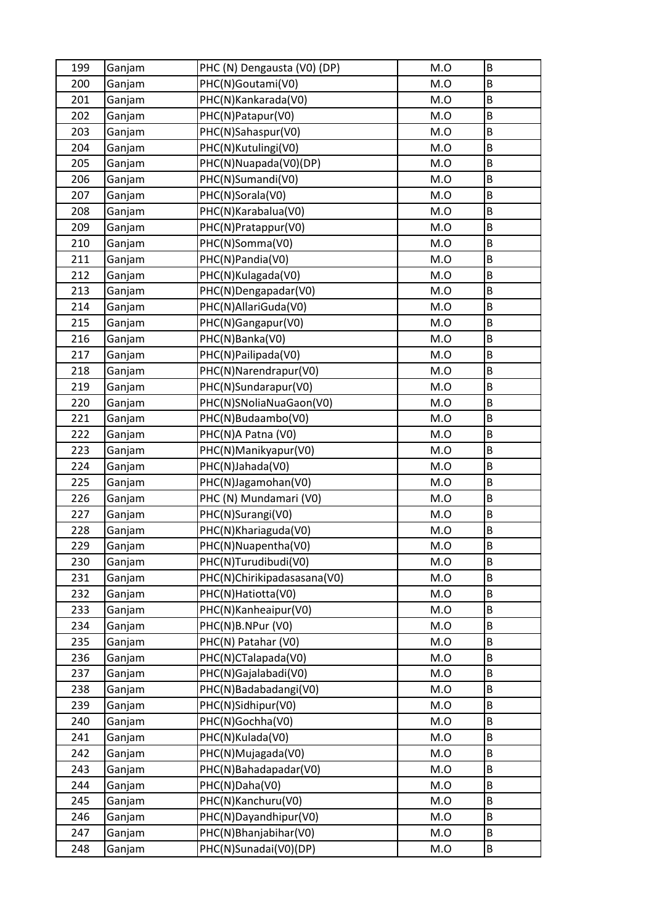| 199 | Ganjam | PHC (N) Dengausta (V0) (DP) | M.O | B |
|-----|--------|-----------------------------|-----|---|
| 200 | Ganjam | PHC(N)Goutami(V0)           | M.O | B |
| 201 | Ganjam | PHC(N)Kankarada(V0)         | M.O | B |
| 202 | Ganjam | PHC(N)Patapur(V0)           | M.O | B |
| 203 | Ganjam | PHC(N)Sahaspur(V0)          | M.O | B |
| 204 | Ganjam | PHC(N)Kutulingi(V0)         | M.O | B |
| 205 | Ganjam | PHC(N)Nuapada(V0)(DP)       | M.O | B |
| 206 | Ganjam | PHC(N)Sumandi(V0)           | M.O | B |
| 207 | Ganjam | PHC(N)Sorala(V0)            | M.O | B |
| 208 | Ganjam | PHC(N)Karabalua(V0)         | M.O | B |
| 209 | Ganjam | PHC(N)Pratappur(V0)         | M.O | B |
| 210 | Ganjam | PHC(N)Somma(V0)             | M.O | B |
| 211 | Ganjam | PHC(N)Pandia(V0)            | M.O | B |
| 212 | Ganjam | PHC(N)Kulagada(V0)          | M.O | B |
| 213 | Ganjam | PHC(N)Dengapadar(V0)        | M.O | B |
| 214 | Ganjam | PHC(N)AllariGuda(V0)        | M.O | B |
| 215 | Ganjam | PHC(N)Gangapur(V0)          | M.O | B |
| 216 | Ganjam | PHC(N)Banka(V0)             | M.O | B |
| 217 | Ganjam | PHC(N)Pailipada(V0)         | M.O | B |
| 218 | Ganjam | PHC(N)Narendrapur(V0)       | M.O | B |
| 219 | Ganjam | PHC(N)Sundarapur(V0)        | M.O | B |
| 220 | Ganjam | PHC(N)SNoliaNuaGaon(V0)     | M.O | B |
| 221 | Ganjam | PHC(N)Budaambo(V0)          | M.O | B |
| 222 | Ganjam | PHC(N)A Patna (V0)          | M.O | B |
| 223 | Ganjam | PHC(N)Manikyapur(V0)        | M.O | B |
| 224 | Ganjam | PHC(N)Jahada(V0)            | M.O | B |
| 225 | Ganjam | PHC(N)Jagamohan(V0)         | M.O | B |
| 226 | Ganjam | PHC (N) Mundamari (V0)      | M.O | B |
| 227 | Ganjam | PHC(N)Surangi(V0)           | M.O | B |
| 228 | Ganjam | PHC(N)Khariaguda(V0)        | M.O | B |
| 229 | Ganjam | PHC(N)Nuapentha(V0)         | M.O | B |
| 230 | Ganjam | PHC(N)Turudibudi(V0)        | M.O | B |
| 231 | Ganjam | PHC(N)Chirikipadasasana(V0) | M.O | B |
| 232 | Ganjam | PHC(N)Hatiotta(V0)          | M.O | B |
| 233 | Ganjam | PHC(N)Kanheaipur(V0)        | M.O | B |
| 234 | Ganjam | PHC(N)B.NPur (V0)           | M.O | B |
| 235 | Ganjam | PHC(N) Patahar (V0)         | M.O | B |
| 236 | Ganjam | PHC(N)CTalapada(V0)         | M.O | B |
| 237 | Ganjam | PHC(N)Gajalabadi(V0)        | M.O | B |
| 238 | Ganjam | PHC(N)Badabadangi(V0)       | M.O | B |
| 239 | Ganjam | PHC(N)Sidhipur(V0)          | M.O | B |
| 240 | Ganjam | PHC(N)Gochha(V0)            | M.O | B |
| 241 | Ganjam | PHC(N)Kulada(V0)            | M.O | B |
| 242 | Ganjam | PHC(N)Mujagada(V0)          | M.O | B |
| 243 | Ganjam | PHC(N)Bahadapadar(V0)       | M.O | B |
| 244 | Ganjam | PHC(N)Daha(V0)              | M.O | B |
| 245 | Ganjam | PHC(N)Kanchuru(V0)          | M.O | B |
| 246 | Ganjam | PHC(N)Dayandhipur(V0)       | M.O | B |
| 247 | Ganjam | PHC(N)Bhanjabihar(V0)       | M.O | B |
| 248 | Ganjam | PHC(N)Sunadai(V0)(DP)       | M.O | B |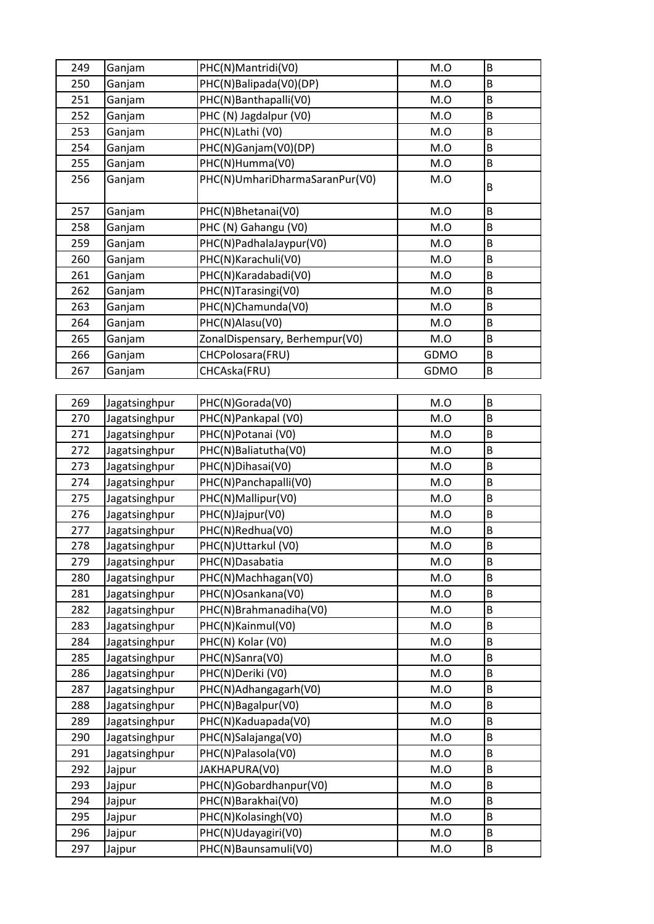| 249 | Ganjam        | PHC(N)Mantridi(V0)             | M.O  | B       |
|-----|---------------|--------------------------------|------|---------|
| 250 | Ganjam        | PHC(N)Balipada(V0)(DP)         | M.O  | B       |
| 251 | Ganjam        | PHC(N)Banthapalli(V0)          | M.O  | B       |
| 252 | Ganjam        | PHC (N) Jagdalpur (V0)         | M.O  | B       |
| 253 | Ganjam        | PHC(N)Lathi (V0)               | M.O  | B       |
| 254 | Ganjam        | PHC(N)Ganjam(V0)(DP)           | M.O  | B       |
| 255 | Ganjam        | PHC(N)Humma(V0)                | M.O  | B       |
| 256 | Ganjam        | PHC(N)UmhariDharmaSaranPur(V0) | M.O  | B       |
| 257 | Ganjam        | PHC(N)Bhetanai(V0)             | M.O  | B       |
| 258 | Ganjam        | PHC (N) Gahangu (V0)           | M.O  | B       |
| 259 | Ganjam        | PHC(N)PadhalaJaypur(V0)        | M.O  | $\sf B$ |
| 260 | Ganjam        | PHC(N)Karachuli(V0)            | M.O  | B       |
| 261 | Ganjam        | PHC(N)Karadabadi(V0)           | M.O  | B       |
| 262 | Ganjam        | PHC(N)Tarasingi(V0)            | M.O  | B       |
| 263 | Ganjam        | PHC(N)Chamunda(V0)             | M.O  | $\sf B$ |
| 264 | Ganjam        | PHC(N)Alasu(V0)                | M.O  | B       |
| 265 | Ganjam        | ZonalDispensary, Berhempur(V0) | M.O  | B       |
| 266 | Ganjam        | CHCPolosara(FRU)               | GDMO | B       |
| 267 | Ganjam        | CHCAska(FRU)                   | GDMO | B       |
|     |               |                                |      |         |
| 269 | Jagatsinghpur | PHC(N)Gorada(V0)               | M.O  | B       |
| 270 | Jagatsinghpur | PHC(N)Pankapal (V0)            | M.O  | B       |
| 271 | Jagatsinghpur | PHC(N)Potanai (V0)             | M.O  | B       |
| 272 | Jagatsinghpur | PHC(N)Baliatutha(V0)           | M.O  | B       |
| 273 | Jagatsinghpur | PHC(N)Dihasai(V0)              | M.O  | B       |
| 274 | Jagatsinghpur | PHC(N)Panchapalli(V0)          | M.O  | B       |
| 275 | Jagatsinghpur | PHC(N)Mallipur(V0)             | M.O  | B       |
| 276 | Jagatsinghpur | PHC(N)Jajpur(V0)               | M.O  | B       |
| 277 | Jagatsinghpur | PHC(N)Redhua(V0)               | M.O  | $\sf B$ |
| 278 | Jagatsinghpur | PHC(N)Uttarkul (V0)            | M.O  | B       |
| 279 | Jagatsinghpur | PHC(N)Dasabatia                | M.O  | B       |
| 280 | Jagatsinghpur | PHC(N)Machhagan(V0)            | M.O  | B       |
| 281 | Jagatsinghpur | PHC(N)Osankana(V0)             | M.O  | B       |
| 282 | Jagatsinghpur | PHC(N)Brahmanadiha(V0)         | M.O  | B       |
| 283 | Jagatsinghpur | PHC(N)Kainmul(V0)              | M.O  | B       |
| 284 | Jagatsinghpur | PHC(N) Kolar (V0)              | M.O  | B       |
| 285 | Jagatsinghpur | PHC(N)Sanra(V0)                | M.O  | B       |
| 286 | Jagatsinghpur | PHC(N)Deriki (V0)              | M.O  | B       |
| 287 | Jagatsinghpur | PHC(N)Adhangagarh(V0)          | M.O  | B       |
| 288 | Jagatsinghpur | PHC(N)Bagalpur(V0)             | M.O  | B       |
| 289 | Jagatsinghpur | PHC(N)Kaduapada(V0)            | M.O  | B       |
| 290 | Jagatsinghpur | PHC(N)Salajanga(V0)            | M.O  | B       |
| 291 | Jagatsinghpur | PHC(N)Palasola(V0)             | M.O  | B       |
| 292 | Jajpur        | JAKHAPURA(V0)                  | M.O  | B       |
| 293 | Jajpur        | PHC(N)Gobardhanpur(V0)         | M.O  | B       |
| 294 | Jajpur        | PHC(N)Barakhai(V0)             | M.O  | B       |
| 295 | Jajpur        | PHC(N)Kolasingh(V0)            | M.O  | B       |
| 296 | Jajpur        | PHC(N)Udayagiri(V0)            | M.O  | B       |
| 297 | Jajpur        | PHC(N)Baunsamuli(V0)           | M.O  | B       |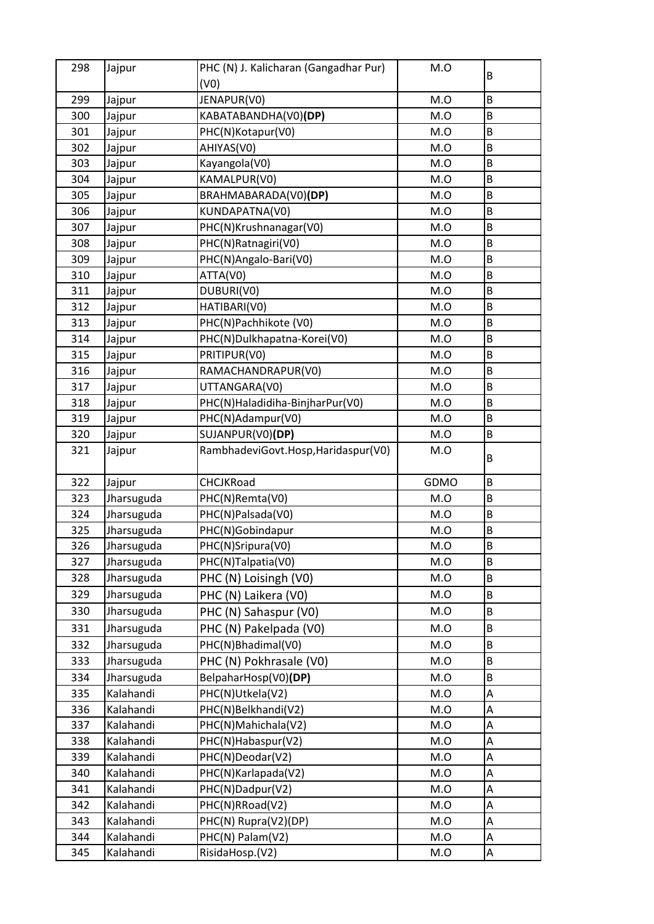| 298 | Jajpur     | PHC (N) J. Kalicharan (Gangadhar Pur) | M.O  | B |
|-----|------------|---------------------------------------|------|---|
|     |            | (V0)                                  |      |   |
| 299 | Jajpur     | JENAPUR(VO)                           | M.O  | B |
| 300 | Jajpur     | KABATABANDHA(V0)(DP)                  | M.O  | B |
| 301 | Jajpur     | PHC(N)Kotapur(V0)                     | M.O  | B |
| 302 | Jajpur     | AHIYAS(V0)                            | M.O  | B |
| 303 | Jajpur     | Kayangola(V0)                         | M.O  | B |
| 304 | Jajpur     | KAMALPUR(V0)                          | M.O  | B |
| 305 | Jajpur     | BRAHMABARADA(V0)(DP)                  | M.O  | B |
| 306 | Jajpur     | KUNDAPATNA(V0)                        | M.O  | B |
| 307 | Jajpur     | PHC(N)Krushnanagar(V0)                | M.O  | B |
| 308 | Jajpur     | PHC(N)Ratnagiri(V0)                   | M.O  | B |
| 309 | Jajpur     | PHC(N)Angalo-Bari(V0)                 | M.O  | B |
| 310 | Jajpur     | ATTA(V0)                              | M.O  | B |
| 311 | Jajpur     | DUBURI(VO)                            | M.O  | В |
| 312 | Jajpur     | HATIBARI(V0)                          | M.O  | B |
| 313 | Jajpur     | PHC(N)Pachhikote (V0)                 | M.O  | B |
| 314 | Jajpur     | PHC(N)Dulkhapatna-Korei(V0)           | M.O  | B |
| 315 | Jajpur     | PRITIPUR(VO)                          | M.O  | B |
| 316 | Jajpur     | RAMACHANDRAPUR(V0)                    | M.O  | B |
| 317 | Jajpur     | UTTANGARA(V0)                         | M.O  | B |
| 318 | Jajpur     | PHC(N)Haladidiha-BinjharPur(V0)       | M.O  | B |
| 319 | Jajpur     | PHC(N)Adampur(V0)                     | M.O  | B |
| 320 | Jajpur     | SUJANPUR(V0)(DP)                      | M.O  | B |
| 321 | Jajpur     | RambhadeviGovt.Hosp,Haridaspur(V0)    | M.O  | B |
| 322 | Jajpur     | CHCJKRoad                             | GDMO | B |
| 323 | Jharsuguda | PHC(N)Remta(V0)                       | M.O  | B |
| 324 | Jharsuguda | PHC(N)Palsada(V0)                     | M.O  | B |
| 325 | Jharsuguda | PHC(N)Gobindapur                      | M.O  | B |
| 326 | Jharsuguda | PHC(N)Sripura(V0)                     | M.O  | B |
| 327 | Jharsuguda | PHC(N)Talpatia(V0)                    | M.O  | B |
| 328 | Jharsuguda | PHC (N) Loisingh (V0)                 | M.O  | B |
| 329 | Jharsuguda | PHC (N) Laikera (V0)                  | M.O  | B |
| 330 | Jharsuguda | PHC (N) Sahaspur (V0)                 | M.O  | B |
| 331 | Jharsuguda | PHC (N) Pakelpada (V0)                | M.O  | B |
| 332 | Jharsuguda | PHC(N)Bhadimal(V0)                    | M.O  | B |
| 333 | Jharsuguda | PHC (N) Pokhrasale (V0)               | M.O  | B |
| 334 | Jharsuguda | BelpaharHosp(V0)(DP)                  | M.O  | B |
| 335 | Kalahandi  | PHC(N)Utkela(V2)                      | M.O  | A |
| 336 | Kalahandi  | PHC(N)Belkhandi(V2)                   | M.O  | A |
| 337 | Kalahandi  | PHC(N)Mahichala(V2)                   | M.O  | А |
| 338 | Kalahandi  | PHC(N)Habaspur(V2)                    | M.O  | A |
| 339 | Kalahandi  | PHC(N)Deodar(V2)                      | M.O  | А |
| 340 | Kalahandi  | PHC(N)Karlapada(V2)                   | M.O  | A |
| 341 | Kalahandi  | PHC(N)Dadpur(V2)                      | M.O  | A |
| 342 | Kalahandi  | PHC(N)RRoad(V2)                       | M.O  | А |
| 343 | Kalahandi  | PHC(N) Rupra(V2)(DP)                  | M.O  | A |
| 344 | Kalahandi  | PHC(N) Palam(V2)                      | M.O  | А |
| 345 | Kalahandi  | RisidaHosp.(V2)                       | M.O  | Α |
|     |            |                                       |      |   |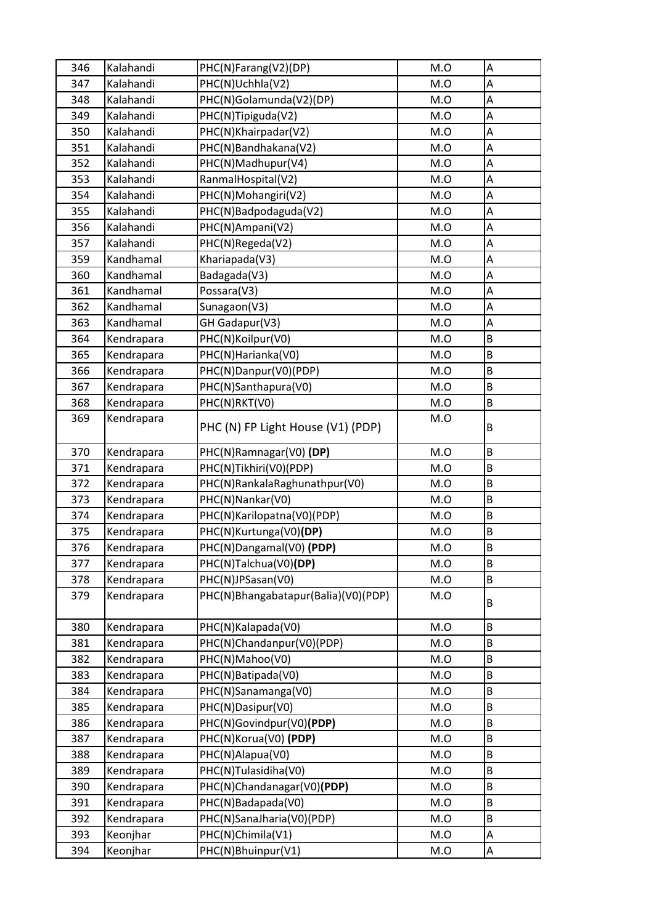| 346 | Kalahandi  | PHC(N)Farang(V2)(DP)                | M.O | Α       |
|-----|------------|-------------------------------------|-----|---------|
| 347 | Kalahandi  | PHC(N)Uchhla(V2)                    | M.O | A       |
| 348 | Kalahandi  | PHC(N)Golamunda(V2)(DP)             | M.O | A       |
| 349 | Kalahandi  | PHC(N)Tipiguda(V2)                  | M.O | A       |
| 350 | Kalahandi  | PHC(N)Khairpadar(V2)                | M.O | A       |
| 351 | Kalahandi  | PHC(N)Bandhakana(V2)                | M.O | Α       |
| 352 | Kalahandi  | PHC(N)Madhupur(V4)                  | M.O | A       |
| 353 | Kalahandi  | RanmalHospital(V2)                  | M.O | A       |
| 354 | Kalahandi  | PHC(N)Mohangiri(V2)                 | M.O | A       |
| 355 | Kalahandi  | PHC(N)Badpodaguda(V2)               | M.O | A       |
| 356 | Kalahandi  | PHC(N)Ampani(V2)                    | M.O | A       |
| 357 | Kalahandi  | PHC(N)Regeda(V2)                    | M.O | A       |
| 359 | Kandhamal  | Khariapada(V3)                      | M.O | A       |
| 360 | Kandhamal  | Badagada(V3)                        | M.O | A       |
| 361 | Kandhamal  | Possara(V3)                         | M.O | A       |
| 362 | Kandhamal  | Sunagaon(V3)                        | M.O | A       |
| 363 | Kandhamal  | GH Gadapur(V3)                      | M.O | A       |
| 364 | Kendrapara | PHC(N)Koilpur(V0)                   | M.O | B       |
| 365 | Kendrapara | PHC(N)Harianka(V0)                  | M.O | B       |
| 366 | Kendrapara | PHC(N)Danpur(V0)(PDP)               | M.O | B       |
| 367 | Kendrapara | PHC(N)Santhapura(V0)                | M.O | B       |
| 368 | Kendrapara | PHC(N)RKT(V0)                       | M.O | B       |
| 369 | Kendrapara | PHC (N) FP Light House (V1) (PDP)   | M.O | B       |
| 370 | Kendrapara | PHC(N)Ramnagar(V0) (DP)             | M.O | B       |
| 371 | Kendrapara | PHC(N)Tikhiri(V0)(PDP)              | M.O | B       |
| 372 | Kendrapara | PHC(N)RankalaRaghunathpur(V0)       | M.O | B       |
| 373 | Kendrapara | PHC(N)Nankar(V0)                    | M.O | B       |
| 374 | Kendrapara | PHC(N)Karilopatna(V0)(PDP)          | M.O | B       |
| 375 | Kendrapara | PHC(N)Kurtunga(V0)(DP)              | M.O | B       |
| 376 | Kendrapara | PHC(N)Dangamal(V0) (PDP)            | M.O | $\sf B$ |
| 377 | Kendrapara | PHC(N)Talchua(V0)(DP)               | M.O | B       |
| 378 | Kendrapara | PHC(N)JPSasan(V0)                   | M.O | B       |
| 379 | Kendrapara | PHC(N)Bhangabatapur(Balia)(V0)(PDP) | M.O | B       |
| 380 | Kendrapara | PHC(N)Kalapada(V0)                  | M.O | B       |
| 381 | Kendrapara | PHC(N)Chandanpur(V0)(PDP)           | M.O | B       |
| 382 | Kendrapara | PHC(N)Mahoo(V0)                     | M.O | B       |
| 383 | Kendrapara | PHC(N)Batipada(V0)                  | M.O | B       |
| 384 | Kendrapara | PHC(N)Sanamanga(V0)                 | M.O | B       |
| 385 | Kendrapara | PHC(N)Dasipur(V0)                   | M.O | B       |
| 386 | Kendrapara | PHC(N)Govindpur(V0)(PDP)            | M.O | B       |
| 387 | Kendrapara | PHC(N)Korua(V0) (PDP)               | M.O | B       |
| 388 | Kendrapara | PHC(N)Alapua(V0)                    | M.O | B       |
| 389 | Kendrapara | PHC(N)Tulasidiha(V0)                | M.O | B       |
| 390 | Kendrapara | PHC(N)Chandanagar(V0)(PDP)          | M.O | B       |
| 391 | Kendrapara | PHC(N)Badapada(V0)                  | M.O | B       |
| 392 | Kendrapara | PHC(N)SanaJharia(V0)(PDP)           | M.O | B       |
| 393 | Keonjhar   | PHC(N)Chimila(V1)                   | M.O | A       |
| 394 | Keonjhar   | PHC(N)Bhuinpur(V1)                  | M.O | А       |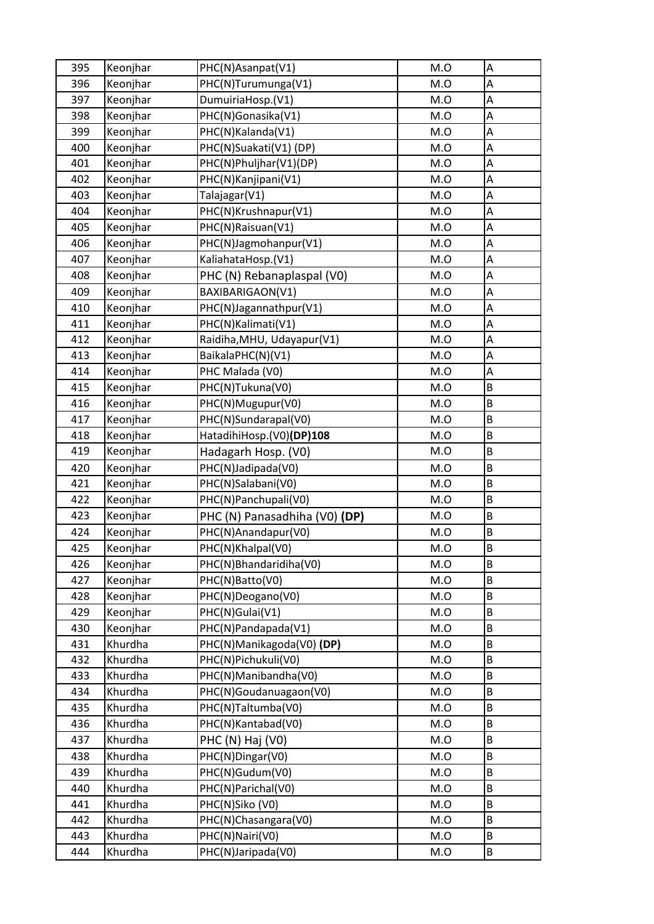| 395 | Keonjhar | PHC(N)Asanpat(V1)             | M.O | Α |
|-----|----------|-------------------------------|-----|---|
| 396 | Keonjhar | PHC(N)Turumunga(V1)           | M.O | A |
| 397 | Keonjhar | DumuiriaHosp.(V1)             | M.O | A |
| 398 | Keonjhar | PHC(N)Gonasika(V1)            | M.O | A |
| 399 | Keonjhar | PHC(N)Kalanda(V1)             | M.O | A |
| 400 | Keonjhar | PHC(N)Suakati(V1)(DP)         | M.O | А |
| 401 | Keonjhar | PHC(N)Phuljhar(V1)(DP)        | M.O | A |
| 402 | Keonjhar | PHC(N)Kanjipani(V1)           | M.O | A |
| 403 | Keonjhar | Talajagar(V1)                 | M.O | A |
| 404 | Keonjhar | PHC(N)Krushnapur(V1)          | M.O | A |
| 405 | Keonjhar | PHC(N)Raisuan(V1)             | M.O | A |
| 406 | Keonjhar | PHC(N)Jagmohanpur(V1)         | M.O | A |
| 407 | Keonjhar | KaliahataHosp.(V1)            | M.O | A |
| 408 | Keonjhar | PHC (N) Rebanaplaspal (V0)    | M.O | A |
| 409 | Keonjhar | BAXIBARIGAON(V1)              | M.O | А |
| 410 | Keonjhar | PHC(N)Jagannathpur(V1)        | M.O | A |
| 411 | Keonjhar | PHC(N)Kalimati(V1)            | M.O | A |
| 412 | Keonjhar | Raidiha, MHU, Udayapur(V1)    | M.O | A |
| 413 | Keonjhar | BaikalaPHC(N)(V1)             | M.O | A |
| 414 | Keonjhar | PHC Malada (V0)               | M.O | A |
| 415 | Keonjhar | PHC(N)Tukuna(V0)              | M.O | B |
| 416 | Keonjhar | PHC(N)Mugupur(V0)             | M.O | B |
| 417 | Keonjhar | PHC(N)Sundarapal(V0)          | M.O | B |
| 418 | Keonjhar | HatadihiHosp.(V0)(DP)108      | M.O | B |
| 419 | Keonjhar | Hadagarh Hosp. (V0)           | M.O | B |
| 420 | Keonjhar | PHC(N)Jadipada(V0)            | M.O | B |
| 421 | Keonjhar | PHC(N)Salabani(V0)            | M.O | B |
| 422 | Keonjhar | PHC(N)Panchupali(V0)          | M.O | B |
| 423 | Keonjhar | PHC (N) Panasadhiha (V0) (DP) | M.O | B |
| 424 | Keonjhar | PHC(N)Anandapur(V0)           | M.O | B |
| 425 | Keonihar | PHC(N)Khalpal(V0)             | M.O | B |
| 426 | Keonjhar | PHC(N)Bhandaridiha(V0)        | M.O | B |
| 427 | Keonjhar | PHC(N)Batto(V0)               | M.O | B |
| 428 | Keonjhar | PHC(N)Deogano(V0)             | M.O | B |
| 429 | Keonjhar | PHC(N)Gulai(V1)               | M.O | B |
| 430 | Keonjhar | PHC(N)Pandapada(V1)           | M.O | B |
| 431 | Khurdha  | PHC(N)Manikagoda(V0) (DP)     | M.O | B |
| 432 | Khurdha  | PHC(N)Pichukuli(V0)           | M.O | B |
| 433 | Khurdha  | PHC(N)Manibandha(V0)          | M.O | B |
| 434 | Khurdha  | PHC(N)Goudanuagaon(V0)        | M.O | B |
| 435 | Khurdha  | PHC(N)Taltumba(V0)            | M.O | B |
| 436 | Khurdha  | PHC(N)Kantabad(V0)            | M.O | B |
| 437 | Khurdha  | PHC (N) Haj (V0)              | M.O | B |
| 438 | Khurdha  | PHC(N)Dingar(V0)              | M.O | B |
| 439 | Khurdha  | PHC(N)Gudum(V0)               | M.O | B |
| 440 | Khurdha  | PHC(N)Parichal(V0)            | M.O | B |
| 441 | Khurdha  | PHC(N)Siko (V0)               | M.O | B |
| 442 | Khurdha  | PHC(N)Chasangara(V0)          | M.O | B |
| 443 | Khurdha  | PHC(N)Nairi(V0)               | M.O | B |
| 444 | Khurdha  | PHC(N)Jaripada(V0)            | M.O | B |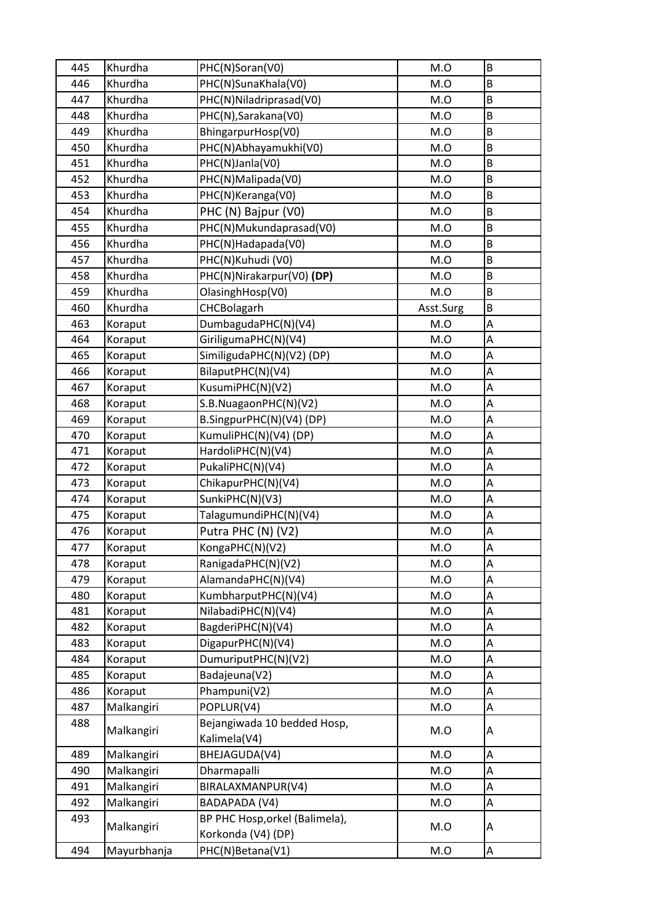| 445 | Khurdha     | PHC(N)Soran(V0)                             | M.O       | $\sf B$ |
|-----|-------------|---------------------------------------------|-----------|---------|
| 446 | Khurdha     | PHC(N)SunaKhala(V0)                         | M.O       | B       |
| 447 | Khurdha     | PHC(N)Niladriprasad(V0)                     | M.O       | B       |
| 448 | Khurdha     | PHC(N), Sarakana(V0)                        | M.O       | B       |
| 449 | Khurdha     | BhingarpurHosp(V0)                          | M.O       | $\sf B$ |
| 450 | Khurdha     | PHC(N)Abhayamukhi(V0)                       | M.O       | $\sf B$ |
| 451 | Khurdha     | PHC(N)Janla(V0)                             | M.O       | B       |
| 452 | Khurdha     | PHC(N)Malipada(V0)                          | M.O       | B       |
| 453 | Khurdha     | PHC(N)Keranga(V0)                           | M.O       | B       |
| 454 | Khurdha     | PHC (N) Bajpur (V0)                         | M.O       | B       |
| 455 | Khurdha     | PHC(N)Mukundaprasad(V0)                     | M.O       | B       |
| 456 | Khurdha     | PHC(N)Hadapada(V0)                          | M.O       | B       |
| 457 | Khurdha     | PHC(N)Kuhudi (V0)                           | M.O       | B       |
| 458 | Khurdha     | PHC(N)Nirakarpur(V0) (DP)                   | M.O       | B       |
| 459 | Khurdha     | OlasinghHosp(V0)                            | M.O       | B       |
| 460 | Khurdha     | CHCBolagarh                                 | Asst.Surg | B       |
| 463 | Koraput     | DumbagudaPHC(N)(V4)                         | M.O       | Α       |
| 464 | Koraput     | GiriligumaPHC(N)(V4)                        | M.O       | A       |
| 465 | Koraput     | SimiligudaPHC(N)(V2) (DP)                   | M.O       | А       |
| 466 | Koraput     | BilaputPHC(N)(V4)                           | M.O       | Α       |
| 467 | Koraput     | KusumiPHC(N)(V2)                            | M.O       | A       |
| 468 | Koraput     | S.B.NuagaonPHC(N)(V2)                       | M.O       | A       |
| 469 | Koraput     | B.SingpurPHC(N)(V4) (DP)                    | M.O       | A       |
| 470 | Koraput     | KumuliPHC(N)(V4) (DP)                       | M.O       | Α       |
| 471 | Koraput     | HardoliPHC(N)(V4)                           | M.O       | A       |
| 472 | Koraput     | PukaliPHC(N)(V4)                            | M.O       | A       |
| 473 | Koraput     | ChikapurPHC(N)(V4)                          | M.O       | A       |
| 474 | Koraput     | SunkiPHC(N)(V3)                             | M.O       | A       |
| 475 | Koraput     | TalagumundiPHC(N)(V4)                       | M.O       | А       |
| 476 | Koraput     | Putra PHC (N) (V2)                          | M.O       | A       |
| 477 | Koraput     | KongaPHC(N)(V2)                             | M.O       | A       |
| 478 | Koraput     | RanigadaPHC(N)(V2)                          | M.O       | Α       |
| 479 | Koraput     | AlamandaPHC(N)(V4)                          | M.O       | А       |
| 480 | Koraput     | KumbharputPHC(N)(V4)                        | M.O       | A       |
| 481 | Koraput     | NilabadiPHC(N)(V4)                          | M.O       | A       |
| 482 | Koraput     | BagderiPHC(N)(V4)                           | M.O       | А       |
| 483 | Koraput     | DigapurPHC(N)(V4)                           | M.O       | Α       |
| 484 | Koraput     | DumuriputPHC(N)(V2)                         | M.O       | A       |
| 485 | Koraput     | Badajeuna(V2)                               | M.O       | А       |
| 486 | Koraput     | Phampuni(V2)                                | M.O       | А       |
| 487 | Malkangiri  | POPLUR(V4)                                  | M.O       | Α       |
| 488 | Malkangiri  | Bejangiwada 10 bedded Hosp,<br>Kalimela(V4) | M.O       | Α       |
| 489 | Malkangiri  | BHEJAGUDA(V4)                               | M.O       | Α       |
| 490 | Malkangiri  | Dharmapalli                                 | M.O       | А       |
| 491 | Malkangiri  | BIRALAXMANPUR(V4)                           | M.O       | А       |
| 492 | Malkangiri  | BADAPADA (V4)                               | M.O       | А       |
| 493 |             | BP PHC Hosp, orkel (Balimela),              |           |         |
|     | Malkangiri  | Korkonda (V4) (DP)                          | M.O       | Α       |
| 494 | Mayurbhanja | PHC(N)Betana(V1)                            | M.O       | Α       |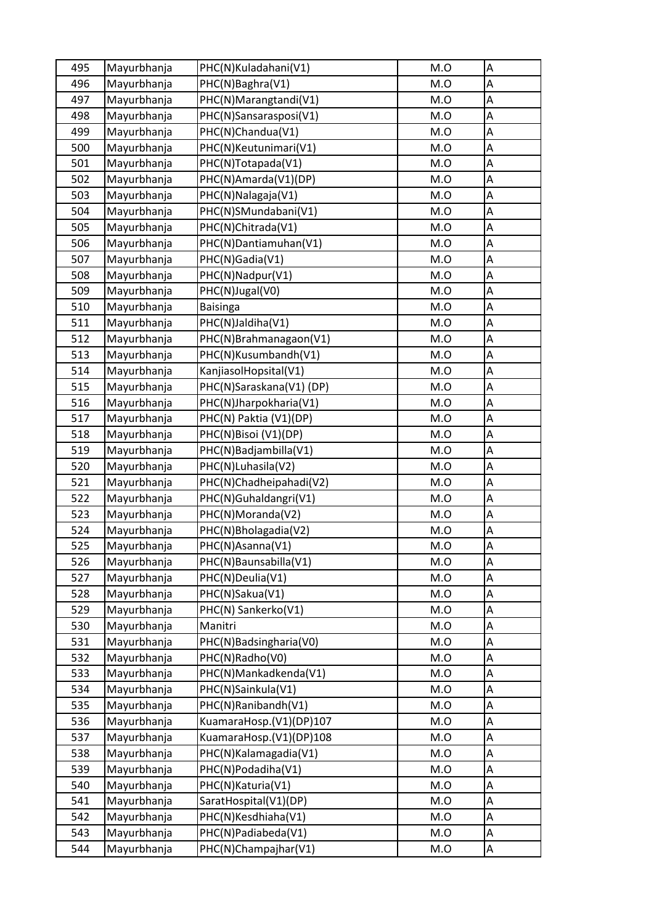| 495 | Mayurbhanja | PHC(N)Kuladahani(V1)    | M.O | А |
|-----|-------------|-------------------------|-----|---|
| 496 | Mayurbhanja | PHC(N)Baghra(V1)        | M.O | A |
| 497 | Mayurbhanja | PHC(N)Marangtandi(V1)   | M.O | A |
| 498 | Mayurbhanja | PHC(N)Sansarasposi(V1)  | M.O | A |
| 499 | Mayurbhanja | PHC(N)Chandua(V1)       | M.O | A |
| 500 | Mayurbhanja | PHC(N)Keutunimari(V1)   | M.O | А |
| 501 | Mayurbhanja | PHC(N)Totapada(V1)      | M.O | A |
| 502 | Mayurbhanja | PHC(N)Amarda(V1)(DP)    | M.O | A |
| 503 | Mayurbhanja | PHC(N)Nalagaja(V1)      | M.O | A |
| 504 | Mayurbhanja | PHC(N)SMundabani(V1)    | M.O | A |
| 505 | Mayurbhanja | PHC(N)Chitrada(V1)      | M.O | A |
| 506 | Mayurbhanja | PHC(N)Dantiamuhan(V1)   | M.O | A |
| 507 | Mayurbhanja | PHC(N)Gadia(V1)         | M.O | A |
| 508 | Mayurbhanja | PHC(N)Nadpur(V1)        | M.O | A |
| 509 | Mayurbhanja | PHC(N)Jugal(V0)         | M.O | A |
| 510 | Mayurbhanja | <b>Baisinga</b>         | M.O | A |
| 511 | Mayurbhanja | PHC(N)Jaldiha(V1)       | M.O | A |
| 512 | Mayurbhanja | PHC(N)Brahmanagaon(V1)  | M.O | A |
| 513 | Mayurbhanja | PHC(N)Kusumbandh(V1)    | M.O | A |
| 514 | Mayurbhanja | KanjiasolHopsital(V1)   | M.O | А |
| 515 | Mayurbhanja | PHC(N)Saraskana(V1)(DP) | M.O | A |
| 516 | Mayurbhanja | PHC(N)Jharpokharia(V1)  | M.O | A |
| 517 | Mayurbhanja | PHC(N) Paktia (V1)(DP)  | M.O | A |
| 518 | Mayurbhanja | PHC(N)Bisoi (V1)(DP)    | M.O | A |
| 519 | Mayurbhanja | PHC(N)Badjambilla(V1)   | M.O | Α |
| 520 | Mayurbhanja | PHC(N)Luhasila(V2)      | M.O | A |
| 521 | Mayurbhanja | PHC(N)Chadheipahadi(V2) | M.O | A |
| 522 | Mayurbhanja | PHC(N)Guhaldangri(V1)   | M.O | A |
| 523 | Mayurbhanja | PHC(N)Moranda(V2)       | M.O | A |
| 524 | Mayurbhanja | PHC(N)Bholagadia(V2)    | M.O | А |
| 525 | Mayurbhanja | PHC(N)Asanna(V1)        | M.O | A |
| 526 | Mayurbhanja | PHC(N)Baunsabilla(V1)   | M.O | А |
| 527 | Mayurbhanja | PHC(N)Deulia(V1)        | M.O | Α |
| 528 | Mayurbhanja | PHC(N)Sakua(V1)         | M.O | A |
| 529 | Mayurbhanja | PHC(N) Sankerko(V1)     | M.O | A |
| 530 | Mayurbhanja | Manitri                 | M.O | А |
| 531 | Mayurbhanja | PHC(N)Badsingharia(V0)  | M.O | А |
| 532 | Mayurbhanja | PHC(N)Radho(V0)         | M.O | A |
| 533 | Mayurbhanja | PHC(N)Mankadkenda(V1)   | M.O | А |
| 534 | Mayurbhanja | PHC(N)Sainkula(V1)      | M.O | A |
| 535 | Mayurbhanja | PHC(N)Ranibandh(V1)     | M.O | A |
| 536 | Mayurbhanja | KuamaraHosp.(V1)(DP)107 | M.O | A |
| 537 | Mayurbhanja | KuamaraHosp.(V1)(DP)108 | M.O | A |
| 538 | Mayurbhanja | PHC(N)Kalamagadia(V1)   | M.O | A |
| 539 | Mayurbhanja | PHC(N)Podadiha(V1)      | M.O | A |
| 540 | Mayurbhanja | PHC(N)Katuria(V1)       | M.O | A |
| 541 | Mayurbhanja | SaratHospital(V1)(DP)   | M.O | A |
| 542 | Mayurbhanja | PHC(N)Kesdhiaha(V1)     | M.O | A |
| 543 | Mayurbhanja | PHC(N)Padiabeda(V1)     | M.O | Α |
| 544 | Mayurbhanja | PHC(N)Champajhar(V1)    | M.O | А |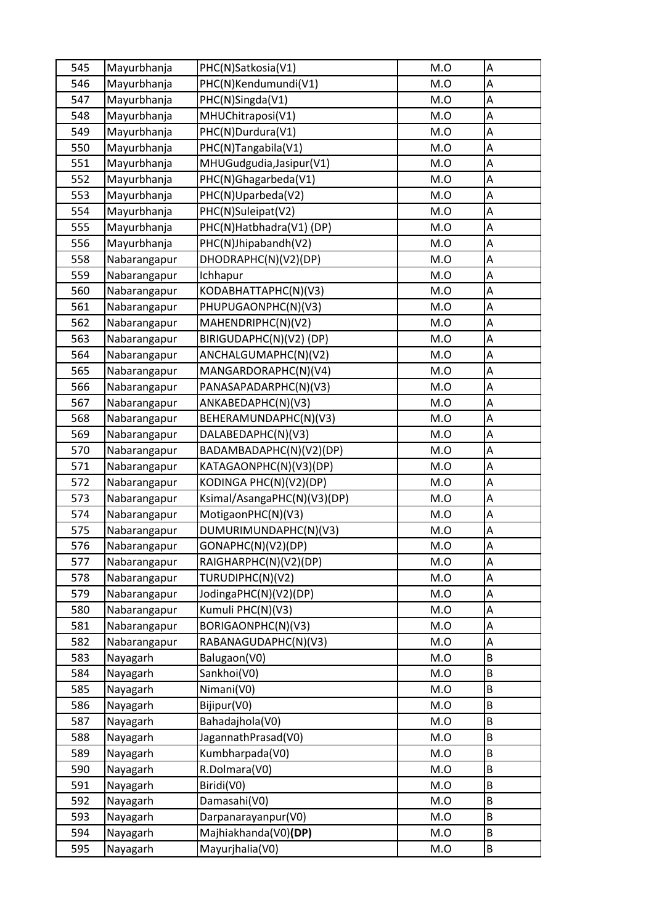| 545 | Mayurbhanja  | PHC(N)Satkosia(V1)          | M.O | Α |
|-----|--------------|-----------------------------|-----|---|
| 546 | Mayurbhanja  | PHC(N)Kendumundi(V1)        | M.O | A |
| 547 | Mayurbhanja  | PHC(N)Singda(V1)            | M.O | A |
| 548 | Mayurbhanja  | MHUChitraposi(V1)           | M.O | A |
| 549 | Mayurbhanja  | PHC(N)Durdura(V1)           | M.O | A |
| 550 | Mayurbhanja  | PHC(N)Tangabila(V1)         | M.O | А |
| 551 | Mayurbhanja  | MHUGudgudia, Jasipur (V1)   | M.O | A |
| 552 | Mayurbhanja  | PHC(N)Ghagarbeda(V1)        | M.O | A |
| 553 | Mayurbhanja  | PHC(N)Uparbeda(V2)          | M.O | A |
| 554 | Mayurbhanja  | PHC(N)Suleipat(V2)          | M.O | A |
| 555 | Mayurbhanja  | PHC(N)Hatbhadra(V1)(DP)     | M.O | Α |
| 556 | Mayurbhanja  | PHC(N)Jhipabandh(V2)        | M.O | A |
| 558 | Nabarangapur | DHODRAPHC(N)(V2)(DP)        | M.O | A |
| 559 | Nabarangapur | Ichhapur                    | M.O | A |
| 560 | Nabarangapur | KODABHATTAPHC(N)(V3)        | M.O | А |
| 561 | Nabarangapur | PHUPUGAONPHC(N)(V3)         | M.O | A |
| 562 | Nabarangapur | MAHENDRIPHC(N)(V2)          | M.O | A |
| 563 | Nabarangapur | BIRIGUDAPHC(N)(V2)(DP)      | M.O | A |
| 564 | Nabarangapur | ANCHALGUMAPHC(N)(V2)        | M.O | A |
| 565 | Nabarangapur | MANGARDORAPHC(N)(V4)        | M.O | А |
| 566 | Nabarangapur | PANASAPADARPHC(N)(V3)       | M.O | A |
| 567 | Nabarangapur | ANKABEDAPHC(N)(V3)          | M.O | A |
| 568 | Nabarangapur | BEHERAMUNDAPHC(N)(V3)       | M.O | A |
| 569 | Nabarangapur | DALABEDAPHC(N)(V3)          | M.O | A |
| 570 | Nabarangapur | BADAMBADAPHC(N)(V2)(DP)     | M.O | Α |
| 571 | Nabarangapur | KATAGAONPHC(N)(V3)(DP)      | M.O | A |
| 572 | Nabarangapur | KODINGA PHC(N)(V2)(DP)      | M.O | A |
| 573 | Nabarangapur | Ksimal/AsangaPHC(N)(V3)(DP) | M.O | A |
| 574 | Nabarangapur | MotigaonPHC(N)(V3)          | M.O | A |
| 575 | Nabarangapur | DUMURIMUNDAPHC(N)(V3)       | M.O | А |
| 576 | Nabarangapur | GONAPHC(N)(V2)(DP)          | M.O | A |
| 577 | Nabarangapur | RAIGHARPHC(N)(V2)(DP)       | M.O | А |
| 578 | Nabarangapur | TURUDIPHC(N)(V2)            | M.O | Α |
| 579 | Nabarangapur | JodingaPHC(N)(V2)(DP)       | M.O | А |
| 580 | Nabarangapur | Kumuli PHC(N)(V3)           | M.O | A |
| 581 | Nabarangapur | BORIGAONPHC(N)(V3)          | M.O | А |
| 582 | Nabarangapur | RABANAGUDAPHC(N)(V3)        | M.O | Α |
| 583 | Nayagarh     | Balugaon(V0)                | M.O | B |
| 584 | Nayagarh     | Sankhoi(V0)                 | M.O | B |
| 585 | Nayagarh     | Nimani(V0)                  | M.O | B |
| 586 | Nayagarh     | Bijipur(V0)                 | M.O | B |
| 587 | Nayagarh     | Bahadajhola(V0)             | M.O | B |
| 588 | Nayagarh     | JagannathPrasad(V0)         | M.O | B |
| 589 | Nayagarh     | Kumbharpada(V0)             | M.O | B |
| 590 | Nayagarh     | R.Dolmara(V0)               | M.O | B |
| 591 | Nayagarh     | Biridi(V0)                  | M.O | B |
| 592 | Nayagarh     | Damasahi(V0)                | M.O | B |
| 593 | Nayagarh     | Darpanarayanpur(V0)         | M.O | B |
| 594 | Nayagarh     | Majhiakhanda(V0)(DP)        | M.O | B |
| 595 | Nayagarh     | Mayurjhalia(V0)             | M.O | B |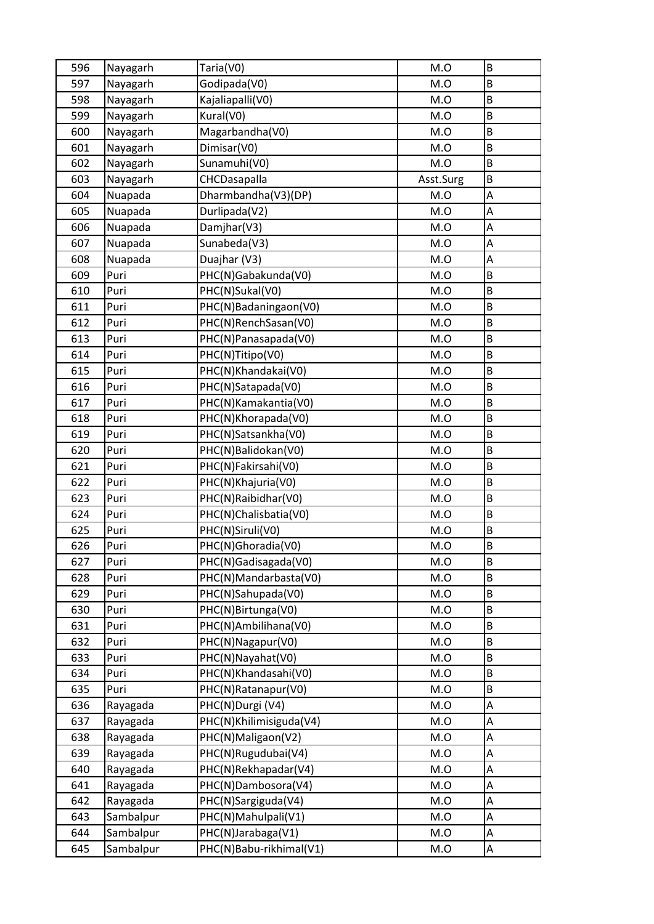| 596 | Nayagarh  | Taria(V0)               | M.O       | $\sf B$ |
|-----|-----------|-------------------------|-----------|---------|
| 597 | Nayagarh  | Godipada(V0)            | M.O       | B       |
| 598 | Nayagarh  | Kajaliapalli(V0)        | M.O       | B       |
| 599 | Nayagarh  | Kural(V0)               | M.O       | B       |
| 600 | Nayagarh  | Magarbandha(V0)         | M.O       | B       |
| 601 | Nayagarh  | Dimisar(V0)             | M.O       | $\sf B$ |
| 602 | Nayagarh  | Sunamuhi(V0)            | M.O       | B       |
| 603 | Nayagarh  | CHCDasapalla            | Asst.Surg | B       |
| 604 | Nuapada   | Dharmbandha(V3)(DP)     | M.O       | Α       |
| 605 | Nuapada   | Durlipada(V2)           | M.O       | A       |
| 606 | Nuapada   | Damjhar(V3)             | M.O       | A       |
| 607 | Nuapada   | Sunabeda(V3)            | M.O       | A       |
| 608 | Nuapada   | Duajhar (V3)            | M.O       | A       |
| 609 | Puri      | PHC(N)Gabakunda(V0)     | M.O       | B       |
| 610 | Puri      | PHC(N)Sukal(V0)         | M.O       | B       |
| 611 | Puri      | PHC(N)Badaningaon(V0)   | M.O       | $\sf B$ |
| 612 | Puri      | PHC(N)RenchSasan(V0)    | M.O       | B       |
| 613 | Puri      | PHC(N)Panasapada(V0)    | M.O       | B       |
| 614 | Puri      | PHC(N)Titipo(V0)        | M.O       | B       |
| 615 | Puri      | PHC(N)Khandakai(V0)     | M.O       | B       |
| 616 | Puri      | PHC(N)Satapada(V0)      | M.O       | B       |
| 617 | Puri      | PHC(N)Kamakantia(V0)    | M.O       | B       |
| 618 | Puri      | PHC(N)Khorapada(V0)     | M.O       | B       |
| 619 | Puri      | PHC(N)Satsankha(V0)     | M.O       | B       |
| 620 | Puri      | PHC(N)Balidokan(V0)     | M.O       | B       |
| 621 | Puri      | PHC(N)Fakirsahi(V0)     | M.O       | B       |
| 622 | Puri      | PHC(N)Khajuria(V0)      | M.O       | B       |
| 623 | Puri      | PHC(N)Raibidhar(V0)     | M.O       | B       |
| 624 | Puri      | PHC(N)Chalisbatia(V0)   | M.O       | B       |
| 625 | Puri      | PHC(N)Siruli(V0)        | M.O       | B       |
| 626 | Puri      | PHC(N)Ghoradia(V0)      | M.O       | B       |
| 627 | Puri      | PHC(N)Gadisagada(V0)    | M.O       | B       |
| 628 | Puri      | PHC(N)Mandarbasta(V0)   | M.O       | B       |
| 629 | Puri      | PHC(N)Sahupada(V0)      | M.O       | B       |
| 630 | Puri      | PHC(N)Birtunga(V0)      | M.O       | B       |
| 631 | Puri      | PHC(N)Ambilihana(V0)    | M.O       | B       |
| 632 | Puri      | PHC(N)Nagapur(V0)       | M.O       | B       |
| 633 | Puri      | PHC(N)Nayahat(V0)       | M.O       | B       |
| 634 | Puri      | PHC(N)Khandasahi(V0)    | M.O       | B       |
| 635 | Puri      | PHC(N)Ratanapur(V0)     | M.O       | B       |
| 636 | Rayagada  | PHC(N)Durgi (V4)        | M.O       | А       |
| 637 | Rayagada  | PHC(N)Khilimisiguda(V4) | M.O       | A       |
| 638 | Rayagada  | PHC(N)Maligaon(V2)      | M.O       | A       |
| 639 | Rayagada  | PHC(N)Rugudubai(V4)     | M.O       | A       |
| 640 | Rayagada  | PHC(N)Rekhapadar(V4)    | M.O       | A       |
| 641 | Rayagada  | PHC(N)Dambosora(V4)     | M.O       | А       |
| 642 | Rayagada  | PHC(N)Sargiguda(V4)     | M.O       | A       |
| 643 | Sambalpur | PHC(N)Mahulpali(V1)     | M.O       | A       |
| 644 | Sambalpur | PHC(N)Jarabaga(V1)      | M.O       | A       |
| 645 | Sambalpur | PHC(N)Babu-rikhimal(V1) | M.O       | A       |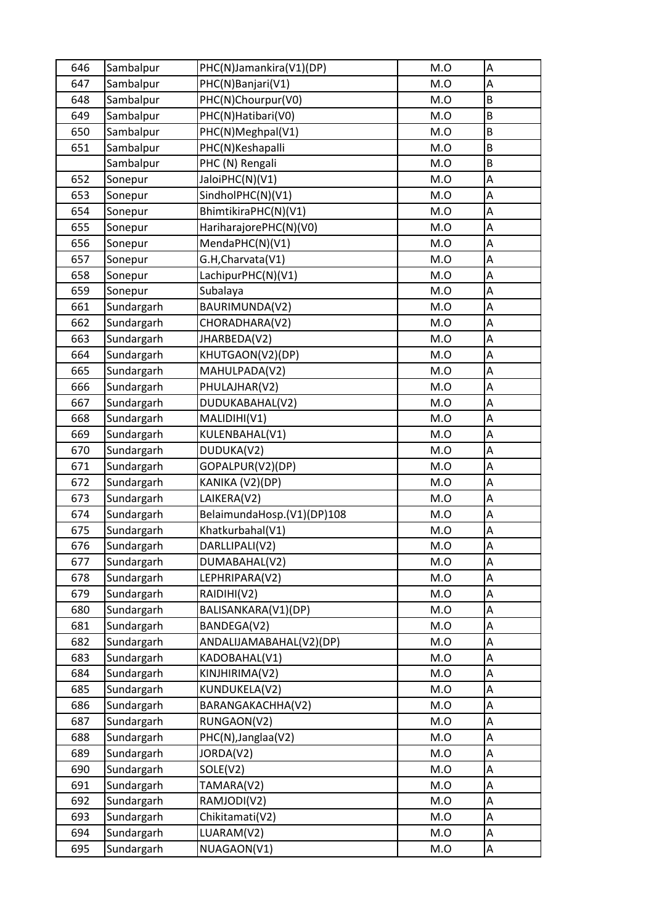| 646 | Sambalpur  | PHC(N)Jamankira(V1)(DP)    | M.O | Α |
|-----|------------|----------------------------|-----|---|
| 647 | Sambalpur  | PHC(N)Banjari(V1)          | M.O | A |
| 648 | Sambalpur  | PHC(N)Chourpur(V0)         | M.O | B |
| 649 | Sambalpur  | PHC(N)Hatibari(V0)         | M.O | B |
| 650 | Sambalpur  | PHC(N)Meghpal(V1)          | M.O | B |
| 651 | Sambalpur  | PHC(N)Keshapalli           | M.O | B |
|     | Sambalpur  | PHC (N) Rengali            | M.O | B |
| 652 | Sonepur    | JaloiPHC(N)(V1)            | M.O | A |
| 653 | Sonepur    | SindholPHC(N)(V1)          | M.O | A |
| 654 | Sonepur    | BhimtikiraPHC(N)(V1)       | M.O | A |
| 655 | Sonepur    | HariharajorePHC(N)(V0)     | M.O | A |
| 656 | Sonepur    | MendaPHC(N)(V1)            | M.O | A |
| 657 | Sonepur    | G.H, Charvata (V1)         | M.O | A |
| 658 | Sonepur    | LachipurPHC(N)(V1)         | M.O | A |
| 659 | Sonepur    | Subalaya                   | M.O | A |
| 661 | Sundargarh | BAURIMUNDA(V2)             | M.O | A |
| 662 | Sundargarh | CHORADHARA(V2)             | M.O | A |
| 663 | Sundargarh | JHARBEDA(V2)               | M.O | A |
| 664 | Sundargarh | KHUTGAON(V2)(DP)           | M.O | A |
| 665 | Sundargarh | MAHULPADA(V2)              | M.O | Α |
| 666 | Sundargarh | PHULAJHAR(V2)              | M.O | A |
| 667 | Sundargarh | DUDUKABAHAL(V2)            | M.O | A |
| 668 | Sundargarh | MALIDIHI(V1)               | M.O | A |
| 669 | Sundargarh | KULENBAHAL(V1)             | M.O | A |
| 670 | Sundargarh | DUDUKA(V2)                 | M.O | А |
| 671 | Sundargarh | GOPALPUR(V2)(DP)           | M.O | A |
| 672 | Sundargarh | KANIKA (V2)(DP)            | M.O | A |
| 673 | Sundargarh | LAIKERA(V2)                | M.O | A |
| 674 | Sundargarh | BelaimundaHosp.(V1)(DP)108 | M.O | A |
| 675 | Sundargarh | Khatkurbahal(V1)           | M.O | A |
| 676 | Sundargarh | DARLLIPALI(V2)             | M.O | A |
| 677 | Sundargarh | DUMABAHAL(V2)              | M.O | А |
| 678 | Sundargarh | LEPHRIPARA(V2)             | M.O | Α |
| 679 | Sundargarh | RAIDIHI(V2)                | M.O | A |
| 680 | Sundargarh | BALISANKARA(V1)(DP)        | M.O | A |
| 681 | Sundargarh | BANDEGA(V2)                | M.O | Α |
| 682 | Sundargarh | ANDALIJAMABAHAL(V2)(DP)    | M.O | Α |
| 683 | Sundargarh | KADOBAHAL(V1)              | M.O | A |
| 684 | Sundargarh | KINJHIRIMA(V2)             | M.O | А |
| 685 | Sundargarh | KUNDUKELA(V2)              | M.O | A |
| 686 | Sundargarh | BARANGAKACHHA(V2)          | M.O | А |
| 687 | Sundargarh | RUNGAON(V2)                | M.O | Α |
| 688 | Sundargarh | PHC(N), Janglaa(V2)        | M.O | A |
| 689 | Sundargarh | JORDA(V2)                  | M.O | A |
| 690 | Sundargarh | SOLE(V2)                   | M.O | A |
| 691 | Sundargarh | TAMARA(V2)                 | M.O | A |
| 692 | Sundargarh | RAMJODI(V2)                | M.O | A |
| 693 | Sundargarh | Chikitamati(V2)            | M.O | A |
| 694 | Sundargarh | LUARAM(V2)                 | M.O | Α |
| 695 | Sundargarh | NUAGAON(V1)                | M.O | А |